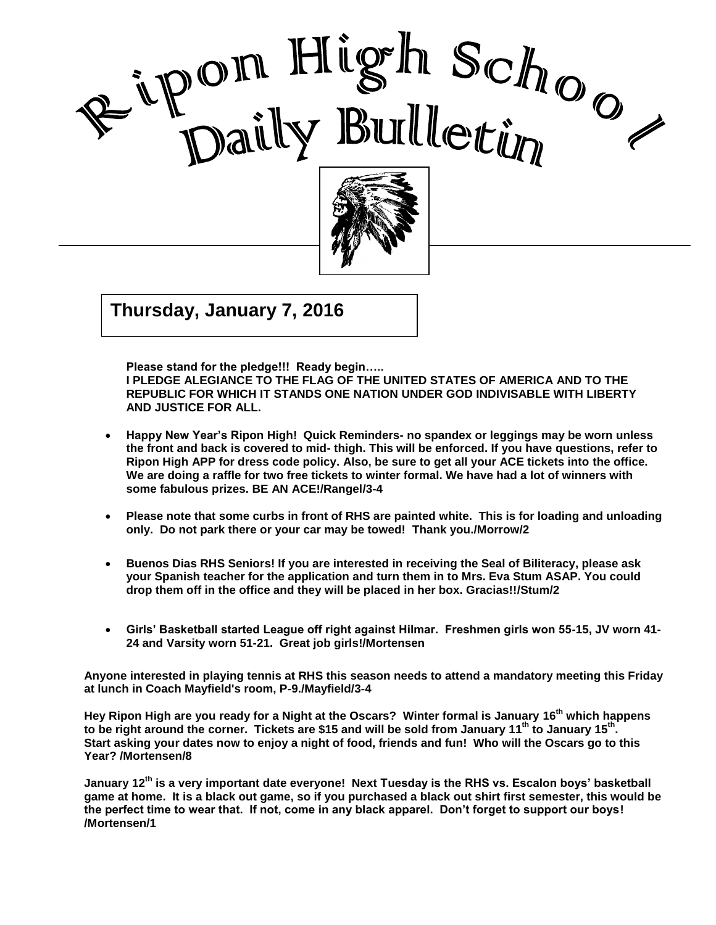

, 2002 Good Care and Care and Care and Care and Care and Care and Care and Care and Care and Care and Care and Care a<br>Contract of Care and Care and Care and Care and Care and Care and Care and Care and Care and Care and Care and

I

 $\mathcal{G}$   $\mathcal{G}$   $\mathcal{G}$   $\mathcal{G}$   $\mathcal{G}$   $\mathcal{G}$   $\mathcal{G}$   $\mathcal{G}$   $\mathcal{G}$   $\mathcal{G}$   $\mathcal{G}$   $\mathcal{G}$   $\mathcal{G}$   $\mathcal{G}$   $\mathcal{G}$   $\mathcal{G}$   $\mathcal{G}$   $\mathcal{G}$   $\mathcal{G}$   $\mathcal{G}$   $\mathcal{G}$   $\mathcal{G}$   $\mathcal{G}$   $\mathcal{G}$   $\mathcal{$ **Thursday, January 7, 2016**

**Please stand for the pledge!!! Ready begin…..** 

**I PLEDGE ALEGIANCE TO THE FLAG OF THE UNITED STATES OF AMERICA AND TO THE REPUBLIC FOR WHICH IT STANDS ONE NATION UNDER GOD INDIVISABLE WITH LIBERTY AND JUSTICE FOR ALL.**

- **Happy New Year's Ripon High! Quick Reminders- no spandex or leggings may be worn unless the front and back is covered to mid- thigh. This will be enforced. If you have questions, refer to Ripon High APP for dress code policy. Also, be sure to get all your ACE tickets into the office. We are doing a raffle for two free tickets to winter formal. We have had a lot of winners with some fabulous prizes. BE AN ACE!/Rangel/3-4**
- **Please note that some curbs in front of RHS are painted white. This is for loading and unloading only. Do not park there or your car may be towed! Thank you./Morrow/2**
- **Buenos Dias RHS Seniors! If you are interested in receiving the Seal of Biliteracy, please ask your Spanish teacher for the application and turn them in to Mrs. Eva Stum ASAP. You could drop them off in the office and they will be placed in her box. Gracias!!/Stum/2**
- **Girls' Basketball started League off right against Hilmar. Freshmen girls won 55-15, JV worn 41- 24 and Varsity worn 51-21. Great job girls!/Mortensen**

**Anyone interested in playing tennis at RHS this season needs to attend a mandatory meeting this Friday at lunch in Coach Mayfield's room, P-9./Mayfield/3-4**

**Hey Ripon High are you ready for a Night at the Oscars? Winter formal is January 16 th which happens**  to be right around the corner. Tickets are \$15 and will be sold from January 11<sup>th</sup> to January 15<sup>th</sup>. **Start asking your dates now to enjoy a night of food, friends and fun! Who will the Oscars go to this Year? /Mortensen/8**

**January 12th is a very important date everyone! Next Tuesday is the RHS vs. Escalon boys' basketball game at home. It is a black out game, so if you purchased a black out shirt first semester, this would be the perfect time to wear that. If not, come in any black apparel. Don't forget to support our boys! /Mortensen/1**